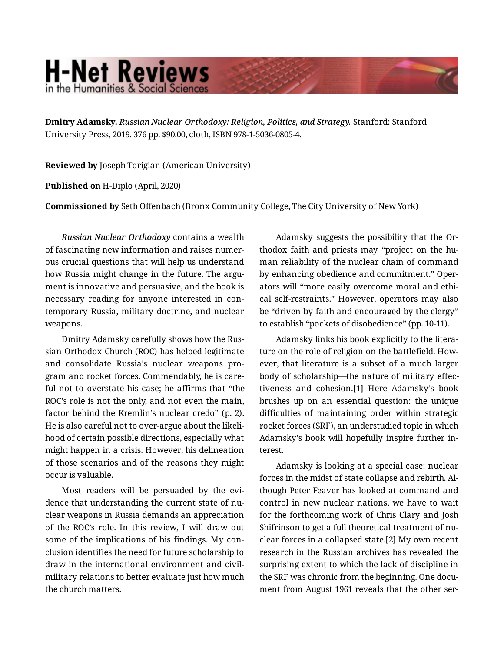## **H-Net Reviews** in the Humanities & Social Scienc

**Dmitry Adamsky.** *Russian Nuclear Orthodoxy: Religion, Politics, and Strategy.* Stanford: Stanford University Press, 2019. 376 pp. \$90.00, cloth, ISBN 978-1-5036-0805-4.

**Reviewed by** Joseph Torigian (American University)

**Published on** H-Diplo (April, 2020)

**Commissioned by** Seth Offenbach (Bronx Community College, The City University of New York)

*Russian Nuclear Orthodoxy* contains a wealth of fascinating new information and raises numer‐ ous crucial questions that will help us understand how Russia might change in the future. The argument is innovative and persuasive, and the book is necessary reading for anyone interested in con‐ temporary Russia, military doctrine, and nuclear weapons.

Dmitry Adamsky carefully shows how the Rus‐ sian Orthodox Church (ROC) has helped legitimate and consolidate Russia's nuclear weapons pro‐ gram and rocket forces. Commendably, he is care‐ ful not to overstate his case; he affirms that "the ROC's role is not the only, and not even the main, factor behind the Kremlin's nuclear credo" (p. 2). He is also careful not to over-argue about the likeli‐ hood of certain possible directions, especially what might happen in a crisis. However, his delineation of those scenarios and of the reasons they might occur is valuable.

Most readers will be persuaded by the evi‐ dence that understanding the current state of nu‐ clear weapons in Russia demands an appreciation of the ROC's role. In this review, I will draw out some of the implications of his findings. My conclusion identifies the need for future scholarship to draw in the international environment and civilmilitary relations to better evaluate just how much the church matters.

Adamsky suggests the possibility that the Or‐ thodox faith and priests may "project on the hu‐ man reliability of the nuclear chain of command by enhancing obedience and commitment." Oper‐ ators will "more easily overcome moral and ethi‐ cal self-restraints." However, operators may also be "driven by faith and encouraged by the clergy" to establish "pockets of disobedience" (pp. 10-11).

Adamsky links his book explicitly to the litera‐ ture on the role of religion on the battlefield. How‐ ever, that literature is a subset of a much larger body of scholarship—the nature of military effec‐ tiveness and cohesion.[1] Here Adamsky's book brushes up on an essential question: the unique difficulties of maintaining order within strategic rocket forces (SRF), an understudied topic in which Adamsky's book will hopefully inspire further in‐ terest.

Adamsky is looking at a special case: nuclear forces in the midst of state collapse and rebirth. Al‐ though Peter Feaver has looked at command and control in new nuclear nations, we have to wait for the forthcoming work of Chris Clary and Josh Shifrinson to get a full theoretical treatment of nu‐ clear forces in a collapsed state.[2] My own recent research in the Russian archives has revealed the surprising extent to which the lack of discipline in the SRF was chronic from the beginning. One document from August 1961 reveals that the other ser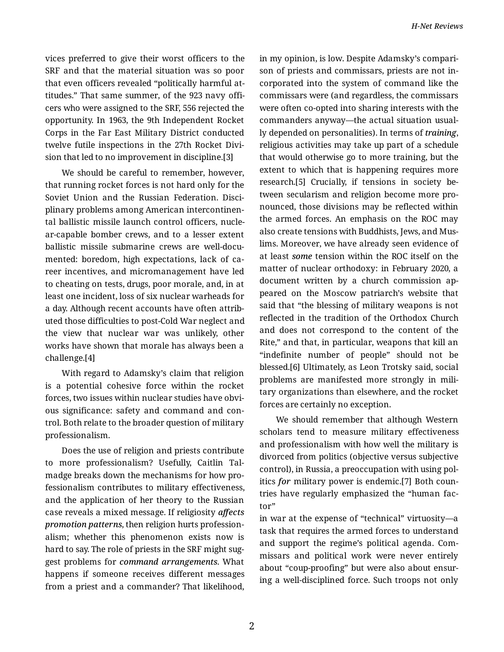vices preferred to give their worst officers to the SRF and that the material situation was so poor that even officers revealed "politically harmful at‐ titudes." That same summer, of the 923 navy offi‐ cers who were assigned to the SRF, 556 rejected the opportunity. In 1963, the 9th Independent Rocket Corps in the Far East Military District conducted twelve futile inspections in the 27th Rocket Divi‐ sion that led to no improvement in discipline.[3]

We should be careful to remember, however, that running rocket forces is not hard only for the Soviet Union and the Russian Federation. Disci‐ plinary problems among American intercontinen‐ tal ballistic missile launch control officers, nucle‐ ar-capable bomber crews, and to a lesser extent ballistic missile submarine crews are well-documented: boredom, high expectations, lack of ca‐ reer incentives, and micromanagement have led to cheating on tests, drugs, poor morale, and, in at least one incident, loss of six nuclear warheads for a day. Although recent accounts have often attrib‐ uted those difficulties to post-Cold War neglect and the view that nuclear war was unlikely, other works have shown that morale has always been a challenge.[4]

With regard to Adamsky's claim that religion is a potential cohesive force within the rocket forces, two issues within nuclear studies have obvi‐ ous significance: safety and command and con‐ trol. Both relate to the broader question of military professionalism.

Does the use of religion and priests contribute to more professionalism? Usefully, Caitlin Tal‐ madge breaks down the mechanisms for how pro‐ fessionalism contributes to military effectiveness, and the application of her theory to the Russian case reveals a mixed message. If religiosity *affects promotion patterns*, then religion hurts profession‐ alism; whether this phenomenon exists now is hard to say. The role of priests in the SRF might sug‐ gest problems for *command arrangements*. What happens if someone receives different messages from a priest and a commander? That likelihood,

in my opinion, is low. Despite Adamsky's compari‐ son of priests and commissars, priests are not in‐ corporated into the system of command like the commissars were (and regardless, the commissars were often co-opted into sharing interests with the commanders anyway—the actual situation usual‐ ly depended on personalities). In terms of *training*, religious activities may take up part of a schedule that would otherwise go to more training, but the extent to which that is happening requires more research.[5] Crucially, if tensions in society be‐ tween secularism and religion become more pro‐ nounced, those divisions may be reflected within the armed forces. An emphasis on the ROC may also create tensions with Buddhists, Jews, and Mus‐ lims. Moreover, we have already seen evidence of at least *some* tension within the ROC itself on the matter of nuclear orthodoxy: in February 2020, a document written by a church commission ap‐ peared on the Moscow patriarch's website that said that "the blessing of military weapons is not reflected in the tradition of the Orthodox Church and does not correspond to the content of the Rite," and that, in particular, weapons that kill an "indefinite number of people" should not be blessed.[6] Ultimately, as Leon Trotsky said, social problems are manifested more strongly in mili‐ tary organizations than elsewhere, and the rocket forces are certainly no exception.

We should remember that although Western scholars tend to measure military effectiveness and professionalism with how well the military is divorced from politics (objective versus subjective control), in Russia, a preoccupation with using pol‐ itics *for* military power is endemic.[7] Both coun‐ tries have regularly emphasized the "human fac‐ tor"

in war at the expense of "technical" virtuosity—a task that requires the armed forces to understand and support the regime's political agenda. Com‐ missars and political work were never entirely about "coup-proofing" but were also about ensur‐ ing a well-disciplined force. Such troops not only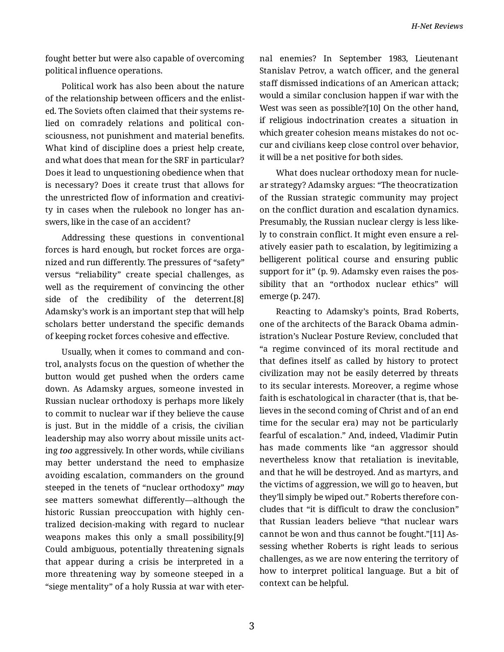fought better but were also capable of overcoming political influence operations.

Political work has also been about the nature of the relationship between officers and the enlist‐ ed. The Soviets often claimed that their systems re‐ lied on comradely relations and political con‐ sciousness, not punishment and material benefits. What kind of discipline does a priest help create, and what does that mean for the SRF in particular? Does it lead to unquestioning obedience when that is necessary? Does it create trust that allows for the unrestricted flow of information and creativi‐ ty in cases when the rulebook no longer has an‐ swers, like in the case of an accident?

Addressing these questions in conventional forces is hard enough, but rocket forces are orga‐ nized and run differently. The pressures of "safety" versus "reliability" create special challenges, as well as the requirement of convincing the other side of the credibility of the deterrent.[8] Adamsky's work is an important step that will help scholars better understand the specific demands of keeping rocket forces cohesive and effective.

Usually, when it comes to command and con‐ trol, analysts focus on the question of whether the button would get pushed when the orders came down. As Adamsky argues, someone invested in Russian nuclear orthodoxy is perhaps more likely to commit to nuclear war if they believe the cause is just. But in the middle of a crisis, the civilian leadership may also worry about missile units act‐ ing *too* aggressively. In other words, while civilians may better understand the need to emphasize avoiding escalation, commanders on the ground steeped in the tenets of "nuclear orthodoxy" *may* see matters somewhat differently—although the historic Russian preoccupation with highly centralized decision-making with regard to nuclear weapons makes this only a small possibility.[9] Could ambiguous, potentially threatening signals that appear during a crisis be interpreted in a more threatening way by someone steeped in a "siege mentality" of a holy Russia at war with eter‐ nal enemies? In September 1983, Lieutenant Stanislav Petrov, a watch officer, and the general staff dismissed indications of an American attack; would a similar conclusion happen if war with the West was seen as possible?[10] On the other hand, if religious indoctrination creates a situation in which greater cohesion means mistakes do not oc‐ cur and civilians keep close control over behavior, it will be a net positive for both sides.

What does nuclear orthodoxy mean for nucle‐ ar strategy? Adamsky argues: "The theocratization of the Russian strategic community may project on the conflict duration and escalation dynamics. Presumably, the Russian nuclear clergy is less like‐ ly to constrain conflict. It might even ensure a rel‐ atively easier path to escalation, by legitimizing a belligerent political course and ensuring public support for it" (p. 9). Adamsky even raises the possibility that an "orthodox nuclear ethics" will emerge (p. 247).

Reacting to Adamsky's points, Brad Roberts, one of the architects of the Barack Obama admin‐ istration's Nuclear Posture Review, concluded that "a regime convinced of its moral rectitude and that defines itself as called by history to protect civilization may not be easily deterred by threats to its secular interests. Moreover, a regime whose faith is eschatological in character (that is, that be‐ lieves in the second coming of Christ and of an end time for the secular era) may not be particularly fearful of escalation." And, indeed, Vladimir Putin has made comments like "an aggressor should nevertheless know that retaliation is inevitable, and that he will be destroyed. And as martyrs, and the victims of aggression, we will go to heaven, but they'll simply be wiped out." Roberts therefore con‐ cludes that "it is difficult to draw the conclusion" that Russian leaders believe "that nuclear wars cannot be won and thus cannot be fought."[11] As‐ sessing whether Roberts is right leads to serious challenges, as we are now entering the territory of how to interpret political language. But a bit of context can be helpful.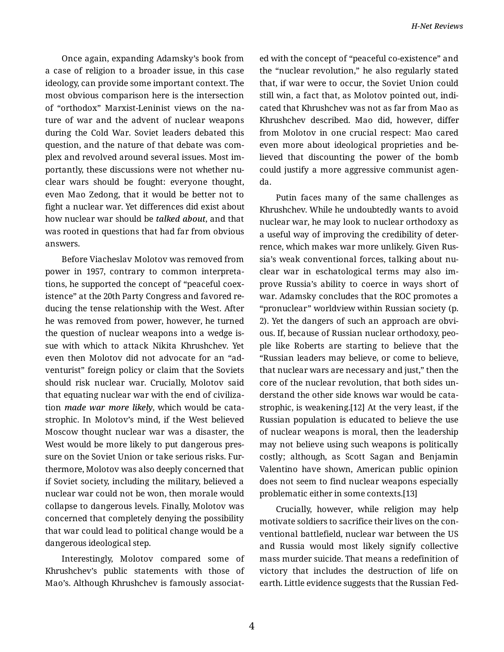Once again, expanding Adamsky's book from a case of religion to a broader issue, in this case ideology, can provide some important context. The most obvious comparison here is the intersection of "orthodox" Marxist-Leninist views on the na‐ ture of war and the advent of nuclear weapons during the Cold War. Soviet leaders debated this question, and the nature of that debate was com‐ plex and revolved around several issues. Most im‐ portantly, these discussions were not whether nu‐ clear wars should be fought: everyone thought, even Mao Zedong, that it would be better not to fight a nuclear war. Yet differences did exist about how nuclear war should be *talked about*, and that was rooted in questions that had far from obvious answers.

Before Viacheslav Molotov was removed from power in 1957, contrary to common interpreta‐ tions, he supported the concept of "peaceful coex‐ istence" at the 20th Party Congress and favored re‐ ducing the tense relationship with the West. After he was removed from power, however, he turned the question of nuclear weapons into a wedge is‐ sue with which to attack Nikita Khrushchev. Yet even then Molotov did not advocate for an "ad‐ venturist" foreign policy or claim that the Soviets should risk nuclear war. Crucially, Molotov said that equating nuclear war with the end of civiliza‐ tion *made war more likely*, which would be cata‐ strophic. In Molotov's mind, if the West believed Moscow thought nuclear war was a disaster, the West would be more likely to put dangerous pres‐ sure on the Soviet Union or take serious risks. Furthermore, Molotov was also deeply concerned that if Soviet society, including the military, believed a nuclear war could not be won, then morale would collapse to dangerous levels. Finally, Molotov was concerned that completely denying the possibility that war could lead to political change would be a dangerous ideological step.

Interestingly, Molotov compared some of Khrushchev's public statements with those of Mao's. Although Khrushchev is famously associat‐

ed with the concept of "peaceful co-existence" and the "nuclear revolution," he also regularly stated that, if war were to occur, the Soviet Union could still win, a fact that, as Molotov pointed out, indi‐ cated that Khrushchev was not as far from Mao as Khrushchev described. Mao did, however, differ from Molotov in one crucial respect: Mao cared even more about ideological proprieties and be‐ lieved that discounting the power of the bomb could justify a more aggressive communist agen‐ da.

Putin faces many of the same challenges as Khrushchev. While he undoubtedly wants to avoid nuclear war, he may look to nuclear orthodoxy as a useful way of improving the credibility of deter‐ rence, which makes war more unlikely. Given Rus‐ sia's weak conventional forces, talking about nu‐ clear war in eschatological terms may also im‐ prove Russia's ability to coerce in ways short of war. Adamsky concludes that the ROC promotes a "pronuclear" worldview within Russian society (p. 2). Yet the dangers of such an approach are obvi‐ ous. If, because of Russian nuclear orthodoxy, peo‐ ple like Roberts are starting to believe that the "Russian leaders may believe, or come to believe, that nuclear wars are necessary and just," then the core of the nuclear revolution, that both sides un‐ derstand the other side knows war would be cata‐ strophic, is weakening.[12] At the very least, if the Russian population is educated to believe the use of nuclear weapons is moral, then the leadership may not believe using such weapons is politically costly; although, as Scott Sagan and Benjamin Valentino have shown, American public opinion does not seem to find nuclear weapons especially problematic either in some contexts.[13]

Crucially, however, while religion may help motivate soldiers to sacrifice their lives on the con‐ ventional battlefield, nuclear war between the US and Russia would most likely signify collective mass murder suicide. That means a redefinition of victory that includes the destruction of life on earth. Little evidence suggests that the Russian Fed‐

4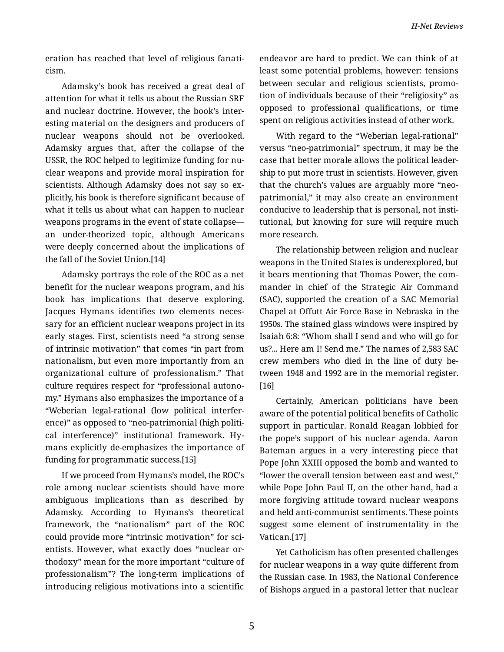eration has reached that level of religious fanati‐ cism.

Adamsky's book has received a great deal of attention for what it tells us about the Russian SRF and nuclear doctrine. However, the book's inter‐ esting material on the designers and producers of nuclear weapons should not be overlooked. Adamsky argues that, after the collapse of the USSR, the ROC helped to legitimize funding for nu‐ clear weapons and provide moral inspiration for scientists. Although Adamsky does not say so ex‐ plicitly, his book is therefore significant because of what it tells us about what can happen to nuclear weapons programs in the event of state collapse an under-theorized topic, although Americans were deeply concerned about the implications of the fall of the Soviet Union.[14]

Adamsky portrays the role of the ROC as a net benefit for the nuclear weapons program, and his book has implications that deserve exploring. Jacques Hymans identifies two elements neces‐ sary for an efficient nuclear weapons project in its early stages. First, scientists need "a strong sense of intrinsic motivation" that comes "in part from nationalism, but even more importantly from an organizational culture of professionalism." That culture requires respect for "professional autono‐ my." Hymans also emphasizes the importance of a "Weberian legal-rational (low political interfer‐ ence)" as opposed to "neo-patrimonial (high political interference)" institutional framework. Hy‐ mans explicitly de-emphasizes the importance of funding for programmatic success.[15]

If we proceed from Hymans's model, the ROC's role among nuclear scientists should have more ambiguous implications than as described by Adamsky. According to Hymans's theoretical framework, the "nationalism" part of the ROC could provide more "intrinsic motivation" for sci‐ entists. However, what exactly does "nuclear or‐ thodoxy" mean for the more important "culture of professionalism"? The long-term implications of introducing religious motivations into a scientific

endeavor are hard to predict. We can think of at least some potential problems, however: tensions between secular and religious scientists, promo‐ tion of individuals because of their "religiosity" as opposed to professional qualifications, or time spent on religious activities instead of other work.

With regard to the "Weberian legal-rational" versus "neo-patrimonial" spectrum, it may be the case that better morale allows the political leader‐ ship to put more trust in scientists. However, given that the church's values are arguably more "neopatrimonial," it may also create an environment conducive to leadership that is personal, not insti‐ tutional, but knowing for sure will require much more research.

The relationship between religion and nuclear weapons in the United States is underexplored, but it bears mentioning that Thomas Power, the com‐ mander in chief of the Strategic Air Command (SAC), supported the creation of a SAC Memorial Chapel at Offutt Air Force Base in Nebraska in the 1950s. The stained glass windows were inspired by Isaiah 6:8: "Whom shall I send and who will go for us?... Here am I! Send me." The names of 2,583 SAC crew members who died in the line of duty be‐ tween 1948 and 1992 are in the memorial register. [16]

Certainly, American politicians have been aware of the potential political benefits of Catholic support in particular. Ronald Reagan lobbied for the pope's support of his nuclear agenda. Aaron Bateman argues in a very interesting piece that Pope John XXIII opposed the bomb and wanted to "lower the overall tension between east and west," while Pope John Paul II, on the other hand, had a more forgiving attitude toward nuclear weapons and held anti-communist sentiments. These points suggest some element of instrumentality in the Vatican.[17]

Yet Catholicism has often presented challenges for nuclear weapons in a way quite different from the Russian case. In 1983, the National Conference of Bishops argued in a pastoral letter that nuclear

5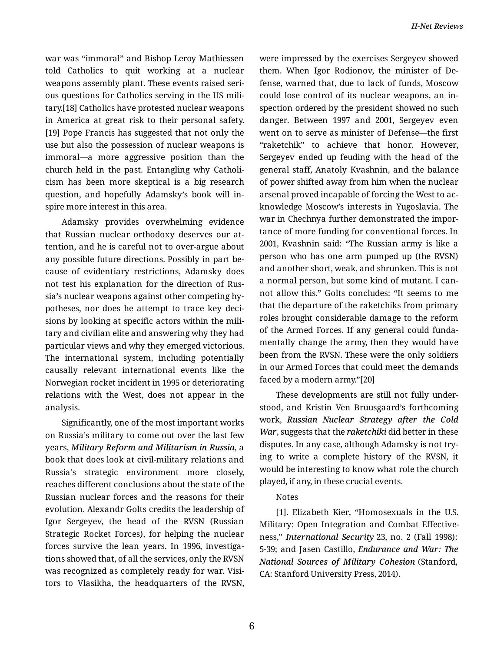war was "immoral" and Bishop Leroy Mathiessen told Catholics to quit working at a nuclear weapons assembly plant. These events raised seri‐ ous questions for Catholics serving in the US mili‐ tary.[18] Catholics have protested nuclear weapons in America at great risk to their personal safety. [19] Pope Francis has suggested that not only the use but also the possession of nuclear weapons is immoral—a more aggressive position than the church held in the past. Entangling why Catholi‐ cism has been more skeptical is a big research question, and hopefully Adamsky's book will in‐ spire more interest in this area.

Adamsky provides overwhelming evidence that Russian nuclear orthodoxy deserves our at‐ tention, and he is careful not to over-argue about any possible future directions. Possibly in part be‐ cause of evidentiary restrictions, Adamsky does not test his explanation for the direction of Rus‐ sia's nuclear weapons against other competing hy‐ potheses, nor does he attempt to trace key decisions by looking at specific actors within the mili‐ tary and civilian elite and answering why they had particular views and why they emerged victorious. The international system, including potentially causally relevant international events like the Norwegian rocket incident in 1995 or deteriorating relations with the West, does not appear in the analysis.

Significantly, one of the most important works on Russia's military to come out over the last few years, *Military Reform and Militarism in Russia*, a book that does look at civil-military relations and Russia's strategic environment more closely, reaches different conclusions about the state of the Russian nuclear forces and the reasons for their evolution. Alexandr Golts credits the leadership of Igor Sergeyev, the head of the RVSN (Russian Strategic Rocket Forces), for helping the nuclear forces survive the lean years. In 1996, investiga‐ tions showed that, of all the services, only the RVSN was recognized as completely ready for war. Visi‐ tors to Vlasikha, the headquarters of the RVSN,

were impressed by the exercises Sergeyev showed them. When Igor Rodionov, the minister of De‐ fense, warned that, due to lack of funds, Moscow could lose control of its nuclear weapons, an in‐ spection ordered by the president showed no such danger. Between 1997 and 2001, Sergeyev even went on to serve as minister of Defense—the first "raketchik" to achieve that honor. However, Sergeyev ended up feuding with the head of the general staff, Anatoly Kvashnin, and the balance of power shifted away from him when the nuclear arsenal proved incapable of forcing the West to ac‐ knowledge Moscow's interests in Yugoslavia. The war in Chechnya further demonstrated the impor‐ tance of more funding for conventional forces. In 2001, Kvashnin said: "The Russian army is like a person who has one arm pumped up (the RVSN) and another short, weak, and shrunken. This is not a normal person, but some kind of mutant. I can‐ not allow this." Golts concludes: "It seems to me that the departure of the raketchiks from primary roles brought considerable damage to the reform of the Armed Forces. If any general could funda‐ mentally change the army, then they would have been from the RVSN. These were the only soldiers in our Armed Forces that could meet the demands faced by a modern army."[20]

These developments are still not fully under‐ stood, and Kristin Ven Bruusgaard's forthcoming work, *Russian Nuclear Strategy after the Cold War*, suggests that the *raketchiki* did better in these disputes. In any case, although Adamsky is not try‐ ing to write a complete history of the RVSN, it would be interesting to know what role the church played, if any, in these crucial events.

## Notes

[1]. Elizabeth Kier, "Homosexuals in the U.S. Military: Open Integration and Combat Effective‐ ness," *International Security* 23, no. 2 (Fall 1998): 5-39; and Jasen Castillo, *Endurance and War: The National Sources of Military Cohesion* (Stanford, CA: Stanford University Press, 2014).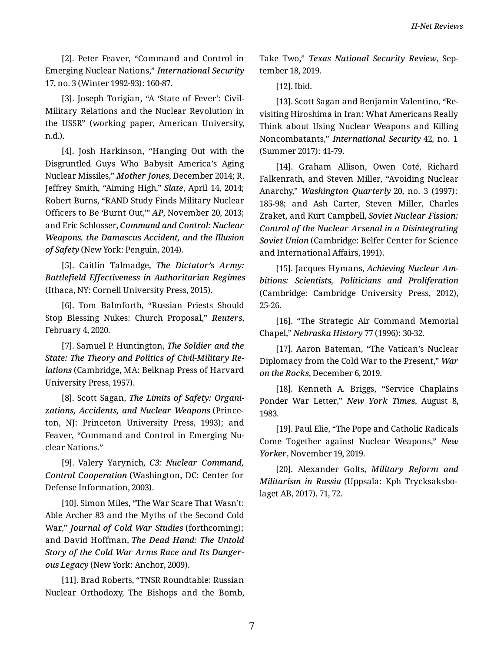[2]. Peter Feaver, "Command and Control in Emerging Nuclear Nations," *International Security* 17, no. 3 (Winter 1992-93): 160-87.

[3]. Joseph Torigian, "A 'State of Fever': Civil-Military Relations and the Nuclear Revolution in the USSR" (working paper, American University, n.d.).

[4]. Josh Harkinson, "Hanging Out with the Disgruntled Guys Who Babysit America's Aging Nuclear Missiles," *Mother Jones*, December 2014; R. Jeffrey Smith, "Aiming High," *Slate*, April 14, 2014; Robert Burns, "RAND Study Finds Military Nuclear Officers to Be 'Burnt Out,'" *AP*, November 20, 2013; and Eric Schlosser, *Command and Control: Nuclear Weapons, the Damascus Accident, and the Illusion of Safety* (New York: Penguin, 2014).

[5]. Caitlin Talmadge, *The Dictator's Army: Battlefield Effectiveness in Authoritarian Regimes* (Ithaca, NY: Cornell University Press, 2015).

[6]. Tom Balmforth, "Russian Priests Should Stop Blessing Nukes: Church Proposal," *Reuters*, February 4, 2020.

[7]. Samuel P. Huntington, *The Soldier and the State: The Theory and Politics of Civil-Military Re‐ lations* (Cambridge, MA: Belknap Press of Harvard University Press, 1957).

[8]. Scott Sagan, *The Limits of Safety: Organi‐ zations, Accidents, and Nuclear Weapons* (Prince‐ ton, NJ: Princeton University Press, 1993); and Feaver, "Command and Control in Emerging Nu‐ clear Nations."

[9]. Valery Yarynich, *C3: Nuclear Command, Control Cooperation* (Washington, DC: Center for Defense Information, 2003).

[10]. Simon Miles, "The War Scare That Wasn't: Able Archer 83 and the Myths of the Second Cold War," *Journal of Cold War Studies* (forthcoming); and David Hoffman, *The Dead Hand: The Untold Story of the Cold War Arms Race and Its Danger‐ ous Legacy* (New York: Anchor, 2009).

[11]. Brad Roberts, "TNSR Roundtable: Russian Nuclear Orthodoxy, The Bishops and the Bomb, Take Two," *Texas National Security Review*, Sep‐ tember 18, 2019.

[12]. Ibid.

[13]. Scott Sagan and Benjamin Valentino, "Re‐ visiting Hiroshima in Iran: What Americans Really Think about Using Nuclear Weapons and Killing Noncombatants," *International Security* 42, no. 1 (Summer 2017): 41-79.

[14]. Graham Allison, Owen Coté, Richard Falkenrath, and Steven Miller, "Avoiding Nuclear Anarchy," *Washington Quarterly* 20, no. 3 (1997): 185-98; and Ash Carter, Steven Miller, Charles Zraket, and Kurt Campbell, *Soviet Nuclear Fission: Control of the Nuclear Arsenal in a Disintegrating Soviet Union* (Cambridge: Belfer Center for Science and International Affairs, 1991).

[15]. Jacques Hymans, *Achieving Nuclear Am‐ bitions: Scientists, Politicians and Proliferation* (Cambridge: Cambridge University Press, 2012), 25-26.

[16]. "The Strategic Air Command Memorial Chapel," *Nebraska History* 77 (1996): 30-32.

[17]. Aaron Bateman, "The Vatican's Nuclear Diplomacy from the Cold War to the Present," *War on the Rocks*, December 6, 2019.

[18]. Kenneth A. Briggs, "Service Chaplains Ponder War Letter," *New York Times*, August 8, 1983.

[19]. Paul Elie, "The Pope and Catholic Radicals Come Together against Nuclear Weapons," *New Yorker*, November 19, 2019.

[20]. Alexander Golts, *Military Reform and Militarism in Russia* (Uppsala: Kph Trycksaksbo‐ laget AB, 2017), 71, 72.